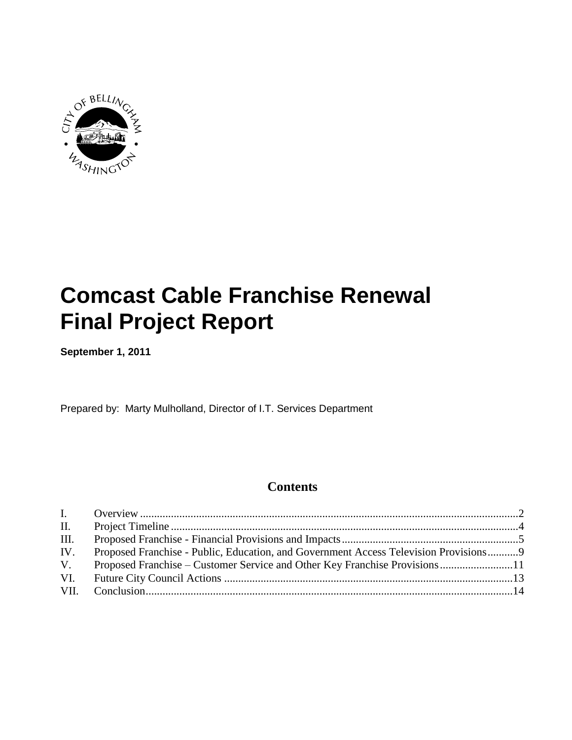

# **Comcast Cable Franchise Renewal Final Project Report**

**September 1, 2011**

Prepared by: Marty Mulholland, Director of I.T. Services Department

# **Contents**

| II.  |                                                                                      |  |
|------|--------------------------------------------------------------------------------------|--|
| III. |                                                                                      |  |
| IV.  | Proposed Franchise - Public, Education, and Government Access Television Provisions9 |  |
| V.   | Proposed Franchise – Customer Service and Other Key Franchise Provisions11           |  |
| VI.  |                                                                                      |  |
|      |                                                                                      |  |
|      |                                                                                      |  |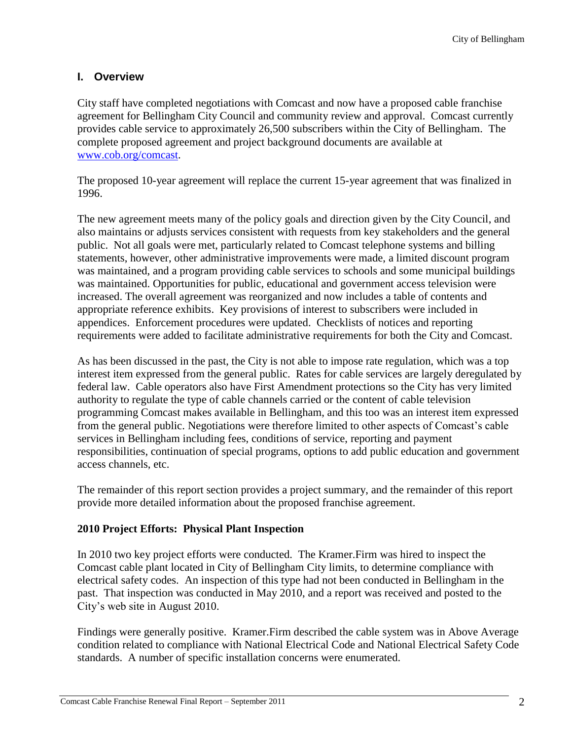# <span id="page-1-0"></span>**I. Overview**

City staff have completed negotiations with Comcast and now have a proposed cable franchise agreement for Bellingham City Council and community review and approval. Comcast currently provides cable service to approximately 26,500 subscribers within the City of Bellingham. The complete proposed agreement and project background documents are available at [www.cob.org/comcast.](http://www.cob.org/comcast)

The proposed 10-year agreement will replace the current 15-year agreement that was finalized in 1996.

The new agreement meets many of the policy goals and direction given by the City Council, and also maintains or adjusts services consistent with requests from key stakeholders and the general public. Not all goals were met, particularly related to Comcast telephone systems and billing statements, however, other administrative improvements were made, a limited discount program was maintained, and a program providing cable services to schools and some municipal buildings was maintained. Opportunities for public, educational and government access television were increased. The overall agreement was reorganized and now includes a table of contents and appropriate reference exhibits. Key provisions of interest to subscribers were included in appendices. Enforcement procedures were updated. Checklists of notices and reporting requirements were added to facilitate administrative requirements for both the City and Comcast.

As has been discussed in the past, the City is not able to impose rate regulation, which was a top interest item expressed from the general public. Rates for cable services are largely deregulated by federal law. Cable operators also have First Amendment protections so the City has very limited authority to regulate the type of cable channels carried or the content of cable television programming Comcast makes available in Bellingham, and this too was an interest item expressed from the general public. Negotiations were therefore limited to other aspects of Comcast's cable services in Bellingham including fees, conditions of service, reporting and payment responsibilities, continuation of special programs, options to add public education and government access channels, etc.

The remainder of this report section provides a project summary, and the remainder of this report provide more detailed information about the proposed franchise agreement.

## **2010 Project Efforts: Physical Plant Inspection**

In 2010 two key project efforts were conducted. The Kramer.Firm was hired to inspect the Comcast cable plant located in City of Bellingham City limits, to determine compliance with electrical safety codes. An inspection of this type had not been conducted in Bellingham in the past. That inspection was conducted in May 2010, and a report was received and posted to the City's web site in August 2010.

Findings were generally positive. Kramer.Firm described the cable system was in Above Average condition related to compliance with National Electrical Code and National Electrical Safety Code standards. A number of specific installation concerns were enumerated.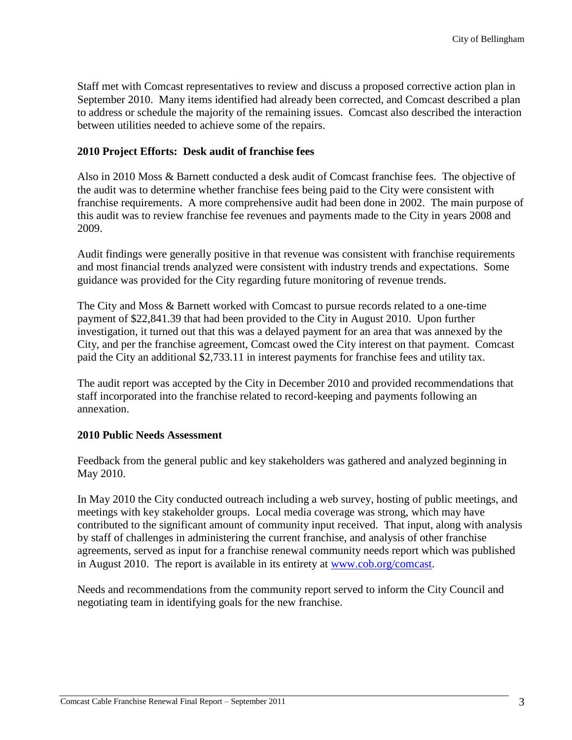Staff met with Comcast representatives to review and discuss a proposed corrective action plan in September 2010. Many items identified had already been corrected, and Comcast described a plan to address or schedule the majority of the remaining issues. Comcast also described the interaction between utilities needed to achieve some of the repairs.

#### **2010 Project Efforts: Desk audit of franchise fees**

Also in 2010 Moss & Barnett conducted a desk audit of Comcast franchise fees. The objective of the audit was to determine whether franchise fees being paid to the City were consistent with franchise requirements. A more comprehensive audit had been done in 2002. The main purpose of this audit was to review franchise fee revenues and payments made to the City in years 2008 and 2009.

Audit findings were generally positive in that revenue was consistent with franchise requirements and most financial trends analyzed were consistent with industry trends and expectations. Some guidance was provided for the City regarding future monitoring of revenue trends.

The City and Moss & Barnett worked with Comcast to pursue records related to a one-time payment of \$22,841.39 that had been provided to the City in August 2010. Upon further investigation, it turned out that this was a delayed payment for an area that was annexed by the City, and per the franchise agreement, Comcast owed the City interest on that payment. Comcast paid the City an additional \$2,733.11 in interest payments for franchise fees and utility tax.

The audit report was accepted by the City in December 2010 and provided recommendations that staff incorporated into the franchise related to record-keeping and payments following an annexation.

#### **2010 Public Needs Assessment**

Feedback from the general public and key stakeholders was gathered and analyzed beginning in May 2010.

In May 2010 the City conducted outreach including a web survey, hosting of public meetings, and meetings with key stakeholder groups. Local media coverage was strong, which may have contributed to the significant amount of community input received. That input, along with analysis by staff of challenges in administering the current franchise, and analysis of other franchise agreements, served as input for a franchise renewal community needs report which was published in August 2010. The report is available in its entirety at [www.cob.org/comcast.](http://www.cob.org/comcast)

Needs and recommendations from the community report served to inform the City Council and negotiating team in identifying goals for the new franchise.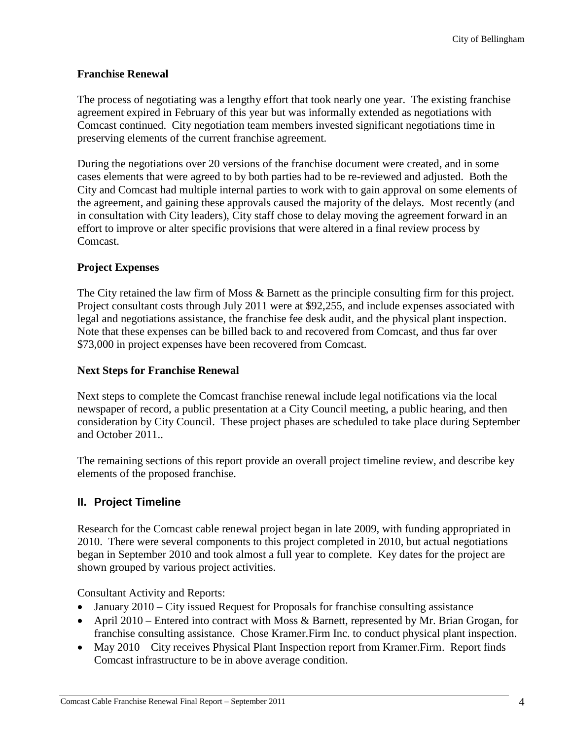#### **Franchise Renewal**

The process of negotiating was a lengthy effort that took nearly one year. The existing franchise agreement expired in February of this year but was informally extended as negotiations with Comcast continued. City negotiation team members invested significant negotiations time in preserving elements of the current franchise agreement.

During the negotiations over 20 versions of the franchise document were created, and in some cases elements that were agreed to by both parties had to be re-reviewed and adjusted. Both the City and Comcast had multiple internal parties to work with to gain approval on some elements of the agreement, and gaining these approvals caused the majority of the delays. Most recently (and in consultation with City leaders), City staff chose to delay moving the agreement forward in an effort to improve or alter specific provisions that were altered in a final review process by Comcast.

#### **Project Expenses**

The City retained the law firm of Moss & Barnett as the principle consulting firm for this project. Project consultant costs through July 2011 were at \$92,255, and include expenses associated with legal and negotiations assistance, the franchise fee desk audit, and the physical plant inspection. Note that these expenses can be billed back to and recovered from Comcast, and thus far over \$73,000 in project expenses have been recovered from Comcast.

#### **Next Steps for Franchise Renewal**

Next steps to complete the Comcast franchise renewal include legal notifications via the local newspaper of record, a public presentation at a City Council meeting, a public hearing, and then consideration by City Council. These project phases are scheduled to take place during September and October 2011..

The remaining sections of this report provide an overall project timeline review, and describe key elements of the proposed franchise.

## <span id="page-3-0"></span>**II. Project Timeline**

Research for the Comcast cable renewal project began in late 2009, with funding appropriated in 2010. There were several components to this project completed in 2010, but actual negotiations began in September 2010 and took almost a full year to complete. Key dates for the project are shown grouped by various project activities.

Consultant Activity and Reports:

- January 2010 City issued Request for Proposals for franchise consulting assistance
- April 2010 Entered into contract with Moss & Barnett, represented by Mr. Brian Grogan, for franchise consulting assistance. Chose Kramer.Firm Inc. to conduct physical plant inspection.
- May 2010 City receives Physical Plant Inspection report from Kramer. Firm. Report finds Comcast infrastructure to be in above average condition.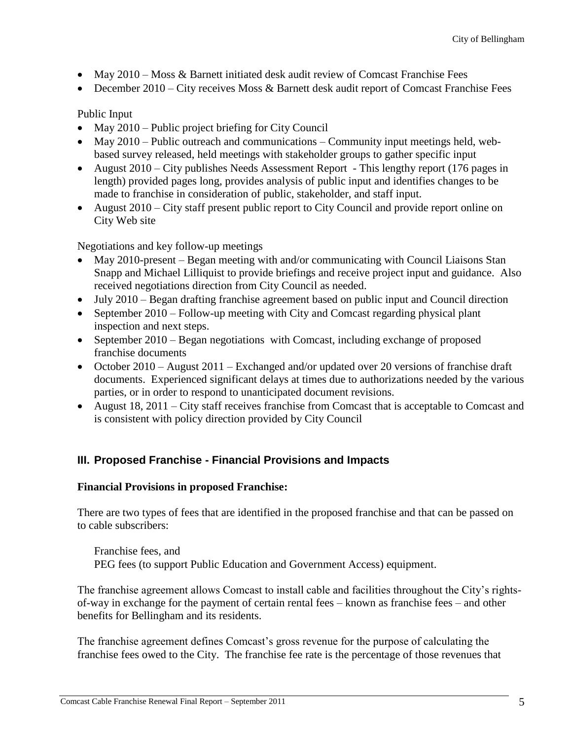- May 2010 Moss & Barnett initiated desk audit review of Comcast Franchise Fees
- December 2010 City receives Moss & Barnett desk audit report of Comcast Franchise Fees

#### Public Input

- May 2010 Public project briefing for City Council
- May 2010 Public outreach and communications Community input meetings held, webbased survey released, held meetings with stakeholder groups to gather specific input
- August 2010 City publishes Needs Assessment Report This lengthy report (176 pages in length) provided pages long, provides analysis of public input and identifies changes to be made to franchise in consideration of public, stakeholder, and staff input.
- August 2010 City staff present public report to City Council and provide report online on City Web site

Negotiations and key follow-up meetings

- May 2010-present Began meeting with and/or communicating with Council Liaisons Stan Snapp and Michael Lilliquist to provide briefings and receive project input and guidance. Also received negotiations direction from City Council as needed.
- July 2010 Began drafting franchise agreement based on public input and Council direction
- September 2010 Follow-up meeting with City and Comcast regarding physical plant inspection and next steps.
- September 2010 Began negotiations with Comcast, including exchange of proposed franchise documents
- October 2010 August 2011 Exchanged and/or updated over 20 versions of franchise draft documents. Experienced significant delays at times due to authorizations needed by the various parties, or in order to respond to unanticipated document revisions.
- August 18, 2011 City staff receives franchise from Comcast that is acceptable to Comcast and is consistent with policy direction provided by City Council

## <span id="page-4-0"></span>**III. Proposed Franchise - Financial Provisions and Impacts**

#### **Financial Provisions in proposed Franchise:**

There are two types of fees that are identified in the proposed franchise and that can be passed on to cable subscribers:

Franchise fees, and PEG fees (to support Public Education and Government Access) equipment.

The franchise agreement allows Comcast to install cable and facilities throughout the City's rightsof-way in exchange for the payment of certain rental fees – known as franchise fees – and other benefits for Bellingham and its residents.

The franchise agreement defines Comcast's gross revenue for the purpose of calculating the franchise fees owed to the City. The franchise fee rate is the percentage of those revenues that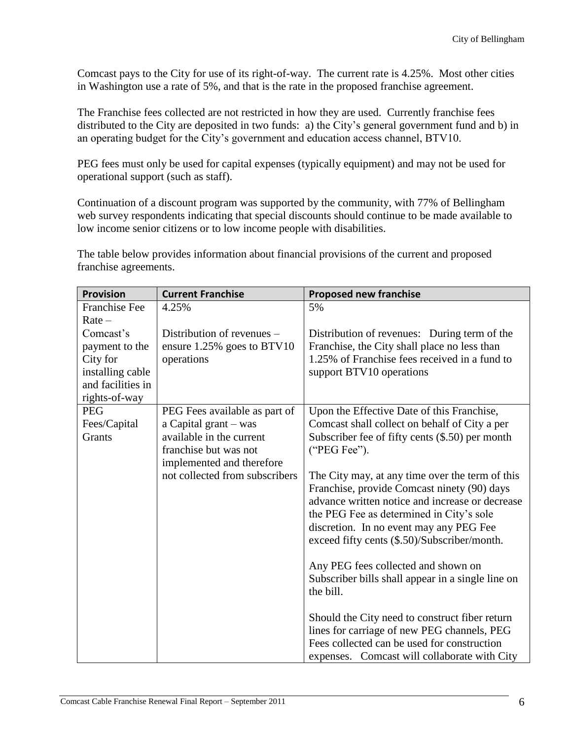Comcast pays to the City for use of its right-of-way. The current rate is 4.25%. Most other cities in Washington use a rate of 5%, and that is the rate in the proposed franchise agreement.

The Franchise fees collected are not restricted in how they are used. Currently franchise fees distributed to the City are deposited in two funds: a) the City's general government fund and b) in an operating budget for the City's government and education access channel, BTV10.

PEG fees must only be used for capital expenses (typically equipment) and may not be used for operational support (such as staff).

Continuation of a discount program was supported by the community, with 77% of Bellingham web survey respondents indicating that special discounts should continue to be made available to low income senior citizens or to low income people with disabilities.

The table below provides information about financial provisions of the current and proposed franchise agreements.

| <b>Provision</b>     | <b>Current Franchise</b>       | <b>Proposed new franchise</b>                                                                                                                                                                                                                                                            |
|----------------------|--------------------------------|------------------------------------------------------------------------------------------------------------------------------------------------------------------------------------------------------------------------------------------------------------------------------------------|
| <b>Franchise Fee</b> | 4.25%                          | 5%                                                                                                                                                                                                                                                                                       |
| $Rate -$             |                                |                                                                                                                                                                                                                                                                                          |
| Comcast's            | Distribution of revenues –     | Distribution of revenues: During term of the                                                                                                                                                                                                                                             |
| payment to the       | ensure 1.25% goes to BTV10     | Franchise, the City shall place no less than                                                                                                                                                                                                                                             |
| City for             | operations                     | 1.25% of Franchise fees received in a fund to                                                                                                                                                                                                                                            |
| installing cable     |                                | support BTV10 operations                                                                                                                                                                                                                                                                 |
| and facilities in    |                                |                                                                                                                                                                                                                                                                                          |
| rights-of-way        |                                |                                                                                                                                                                                                                                                                                          |
| <b>PEG</b>           | PEG Fees available as part of  | Upon the Effective Date of this Franchise,                                                                                                                                                                                                                                               |
| Fees/Capital         | a Capital grant – was          | Comcast shall collect on behalf of City a per                                                                                                                                                                                                                                            |
| Grants               | available in the current       | Subscriber fee of fifty cents (\$.50) per month                                                                                                                                                                                                                                          |
|                      | franchise but was not          | ("PEG Fee").                                                                                                                                                                                                                                                                             |
|                      | implemented and therefore      |                                                                                                                                                                                                                                                                                          |
|                      | not collected from subscribers | The City may, at any time over the term of this<br>Franchise, provide Comcast ninety (90) days<br>advance written notice and increase or decrease<br>the PEG Fee as determined in City's sole<br>discretion. In no event may any PEG Fee<br>exceed fifty cents (\$.50)/Subscriber/month. |
|                      |                                | Any PEG fees collected and shown on<br>Subscriber bills shall appear in a single line on<br>the bill.                                                                                                                                                                                    |
|                      |                                | Should the City need to construct fiber return<br>lines for carriage of new PEG channels, PEG<br>Fees collected can be used for construction<br>expenses. Comcast will collaborate with City                                                                                             |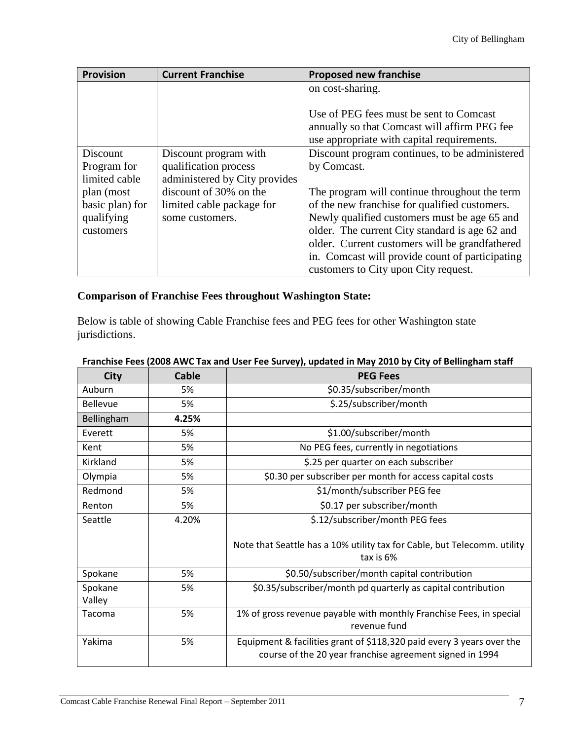| <b>Provision</b> | <b>Current Franchise</b>      | <b>Proposed new franchise</b>                   |
|------------------|-------------------------------|-------------------------------------------------|
|                  |                               | on cost-sharing.                                |
|                  |                               |                                                 |
|                  |                               | Use of PEG fees must be sent to Comcast         |
|                  |                               | annually so that Comcast will affirm PEG fee    |
|                  |                               | use appropriate with capital requirements.      |
| Discount         | Discount program with         | Discount program continues, to be administered  |
| Program for      | qualification process         | by Comcast.                                     |
| limited cable    | administered by City provides |                                                 |
| plan (most       | discount of 30% on the        | The program will continue throughout the term   |
| basic plan) for  | limited cable package for     | of the new franchise for qualified customers.   |
| qualifying       | some customers.               | Newly qualified customers must be age 65 and    |
| customers        |                               | older. The current City standard is age 62 and  |
|                  |                               | older. Current customers will be grandfathered  |
|                  |                               | in. Comcast will provide count of participating |
|                  |                               | customers to City upon City request.            |

# **Comparison of Franchise Fees throughout Washington State:**

Below is table of showing Cable Franchise fees and PEG fees for other Washington state jurisdictions.

| City              | <b>Cable</b> | <b>PEG Fees</b>                                                                                                                   |
|-------------------|--------------|-----------------------------------------------------------------------------------------------------------------------------------|
| Auburn            | 5%           | \$0.35/subscriber/month                                                                                                           |
| Bellevue          | 5%           | \$.25/subscriber/month                                                                                                            |
| Bellingham        | 4.25%        |                                                                                                                                   |
| Everett           | 5%           | \$1.00/subscriber/month                                                                                                           |
| Kent              | 5%           | No PEG fees, currently in negotiations                                                                                            |
| Kirkland          | 5%           | \$.25 per quarter on each subscriber                                                                                              |
| Olympia           | 5%           | \$0.30 per subscriber per month for access capital costs                                                                          |
| Redmond           | 5%           | \$1/month/subscriber PEG fee                                                                                                      |
| Renton            | 5%           | \$0.17 per subscriber/month                                                                                                       |
| Seattle           | 4.20%        | \$.12/subscriber/month PEG fees                                                                                                   |
|                   |              | Note that Seattle has a 10% utility tax for Cable, but Telecomm. utility<br>tax is 6%                                             |
| Spokane           | 5%           | \$0.50/subscriber/month capital contribution                                                                                      |
| Spokane<br>Valley | 5%           | \$0.35/subscriber/month pd quarterly as capital contribution                                                                      |
| Tacoma            | 5%           | 1% of gross revenue payable with monthly Franchise Fees, in special<br>revenue fund                                               |
| Yakima            | 5%           | Equipment & facilities grant of \$118,320 paid every 3 years over the<br>course of the 20 year franchise agreement signed in 1994 |

#### **Franchise Fees (2008 AWC Tax and User Fee Survey), updated in May 2010 by City of Bellingham staff**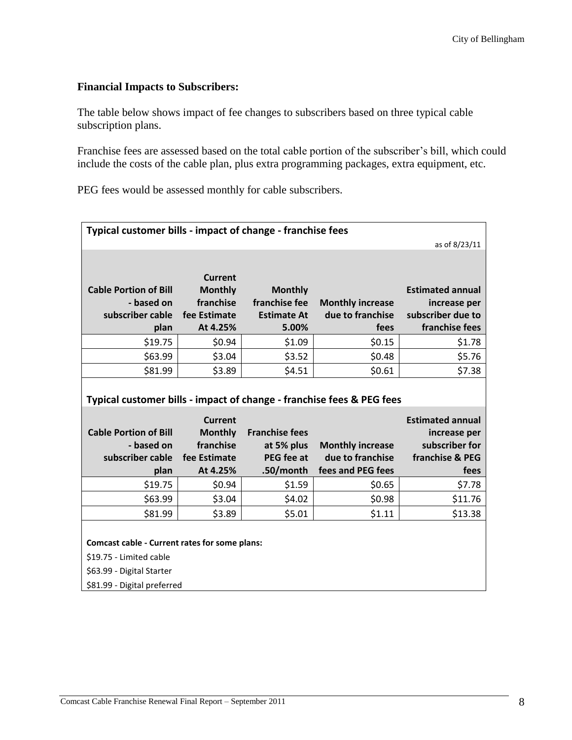## **Financial Impacts to Subscribers:**

The table below shows impact of fee changes to subscribers based on three typical cable subscription plans.

Franchise fees are assessed based on the total cable portion of the subscriber's bill, which could include the costs of the cable plan, plus extra programming packages, extra equipment, etc.

PEG fees would be assessed monthly for cable subscribers.

| Typical customer bills - impact of change - franchise fees            |                |                       |                         |                         |
|-----------------------------------------------------------------------|----------------|-----------------------|-------------------------|-------------------------|
|                                                                       |                |                       |                         | as of 8/23/11           |
|                                                                       |                |                       |                         |                         |
|                                                                       | <b>Current</b> |                       |                         |                         |
| <b>Cable Portion of Bill</b>                                          | <b>Monthly</b> | <b>Monthly</b>        |                         | <b>Estimated annual</b> |
| - based on                                                            | franchise      | franchise fee         | <b>Monthly increase</b> | increase per            |
| subscriber cable                                                      | fee Estimate   | <b>Estimate At</b>    | due to franchise        | subscriber due to       |
| plan                                                                  | At 4.25%       | 5.00%                 | fees                    | franchise fees          |
| \$19.75                                                               | \$0.94         | \$1.09                | \$0.15                  | \$1.78                  |
| \$63.99                                                               | \$3.04         | \$3.52                | \$0.48                  | \$5.76                  |
| \$81.99                                                               | \$3.89         | \$4.51                | \$0.61                  | \$7.38                  |
|                                                                       |                |                       |                         |                         |
| Typical customer bills - impact of change - franchise fees & PEG fees |                |                       |                         |                         |
|                                                                       | <b>Current</b> |                       |                         | <b>Estimated annual</b> |
| <b>Cable Portion of Bill</b>                                          | <b>Monthly</b> | <b>Franchise fees</b> |                         | increase per            |
| - based on                                                            | franchise      | at 5% plus            | <b>Monthly increase</b> | subscriber for          |
| subscriber cable                                                      | fee Estimate   | <b>PEG</b> fee at     | due to franchise        | franchise & PEG         |
| plan                                                                  | At 4.25%       | .50/month             | fees and PEG fees       | fees                    |
|                                                                       |                |                       |                         |                         |
| \$19.75                                                               | \$0.94         | \$1.59                | \$0.65                  | \$7.78                  |
| \$63.99                                                               | \$3.04         | \$4.02                | \$0.98                  | \$11.76                 |
| \$81.99                                                               | \$3.89         | \$5.01                | \$1.11                  | \$13.38                 |
|                                                                       |                |                       |                         |                         |
| Comcast cable - Current rates for some plans:                         |                |                       |                         |                         |
| \$19.75 - Limited cable                                               |                |                       |                         |                         |
| \$63.99 - Digital Starter                                             |                |                       |                         |                         |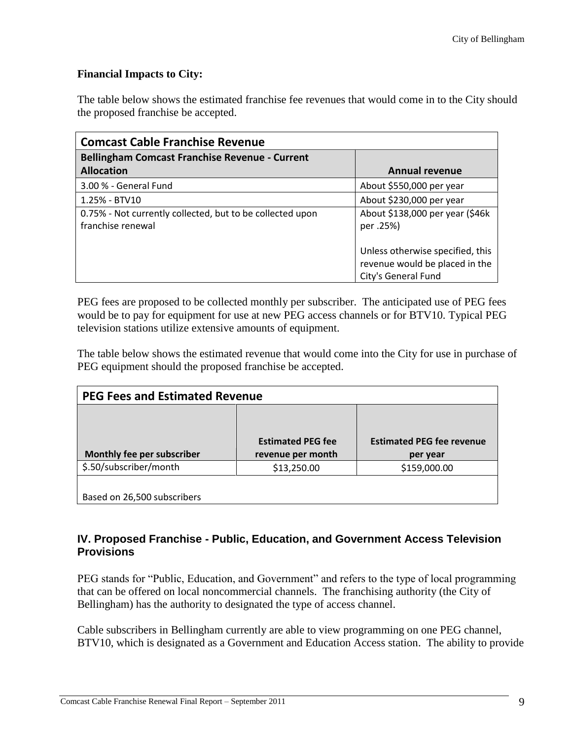## **Financial Impacts to City:**

The table below shows the estimated franchise fee revenues that would come in to the City should the proposed franchise be accepted.

| <b>Comcast Cable Franchise Revenue</b>                                         |                                                                                           |  |
|--------------------------------------------------------------------------------|-------------------------------------------------------------------------------------------|--|
| <b>Bellingham Comcast Franchise Revenue - Current</b>                          |                                                                                           |  |
| <b>Allocation</b>                                                              | <b>Annual revenue</b>                                                                     |  |
| 3.00 % - General Fund                                                          | About \$550,000 per year                                                                  |  |
| $1.25% - BTV10$                                                                | About \$230,000 per year                                                                  |  |
| 0.75% - Not currently collected, but to be collected upon<br>franchise renewal | About \$138,000 per year (\$46k<br>per .25%)                                              |  |
|                                                                                | Unless otherwise specified, this<br>revenue would be placed in the<br>City's General Fund |  |

PEG fees are proposed to be collected monthly per subscriber. The anticipated use of PEG fees would be to pay for equipment for use at new PEG access channels or for BTV10. Typical PEG television stations utilize extensive amounts of equipment.

The table below shows the estimated revenue that would come into the City for use in purchase of PEG equipment should the proposed franchise be accepted.

| <b>PEG Fees and Estimated Revenue</b> |                                               |                                              |  |
|---------------------------------------|-----------------------------------------------|----------------------------------------------|--|
|                                       |                                               |                                              |  |
| Monthly fee per subscriber            | <b>Estimated PEG fee</b><br>revenue per month | <b>Estimated PEG fee revenue</b><br>per year |  |
| \$.50/subscriber/month                | \$13,250.00                                   | \$159,000.00                                 |  |
| Based on 26,500 subscribers           |                                               |                                              |  |

# <span id="page-8-0"></span>**IV. Proposed Franchise - Public, Education, and Government Access Television Provisions**

PEG stands for "Public, Education, and Government" and refers to the type of local programming that can be offered on local noncommercial channels. The franchising authority (the City of Bellingham) has the authority to designated the type of access channel.

Cable subscribers in Bellingham currently are able to view programming on one PEG channel, BTV10, which is designated as a Government and Education Access station. The ability to provide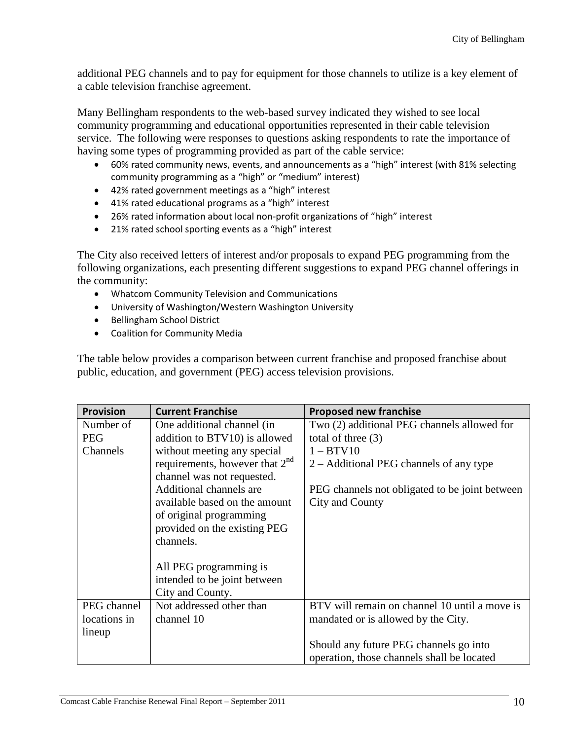additional PEG channels and to pay for equipment for those channels to utilize is a key element of a cable television franchise agreement.

Many Bellingham respondents to the web-based survey indicated they wished to see local community programming and educational opportunities represented in their cable television service. The following were responses to questions asking respondents to rate the importance of having some types of programming provided as part of the cable service:

- 60% rated community news, events, and announcements as a "high" interest (with 81% selecting community programming as a "high" or "medium" interest)
- 42% rated government meetings as a "high" interest
- 41% rated educational programs as a "high" interest
- 26% rated information about local non-profit organizations of "high" interest
- 21% rated school sporting events as a "high" interest

The City also received letters of interest and/or proposals to expand PEG programming from the following organizations, each presenting different suggestions to expand PEG channel offerings in the community:

- Whatcom Community Television and Communications
- University of Washington/Western Washington University
- Bellingham School District
- Coalition for Community Media

The table below provides a comparison between current franchise and proposed franchise about public, education, and government (PEG) access television provisions.

| <b>Provision</b> | <b>Current Franchise</b>            | <b>Proposed new franchise</b>                  |
|------------------|-------------------------------------|------------------------------------------------|
| Number of        | One additional channel (in          | Two (2) additional PEG channels allowed for    |
| <b>PEG</b>       | addition to BTV10) is allowed       | total of three $(3)$                           |
| Channels         | without meeting any special         | $1 - BTV10$                                    |
|                  | requirements, however that $2^{nd}$ | 2 – Additional PEG channels of any type        |
|                  | channel was not requested.          |                                                |
|                  | Additional channels are             | PEG channels not obligated to be joint between |
|                  | available based on the amount       | City and County                                |
|                  | of original programming             |                                                |
|                  | provided on the existing PEG        |                                                |
|                  | channels.                           |                                                |
|                  |                                     |                                                |
|                  | All PEG programming is              |                                                |
|                  | intended to be joint between        |                                                |
|                  | City and County.                    |                                                |
| PEG channel      | Not addressed other than            | BTV will remain on channel 10 until a move is  |
| locations in     | channel 10                          | mandated or is allowed by the City.            |
| lineup           |                                     |                                                |
|                  |                                     | Should any future PEG channels go into         |
|                  |                                     | operation, those channels shall be located     |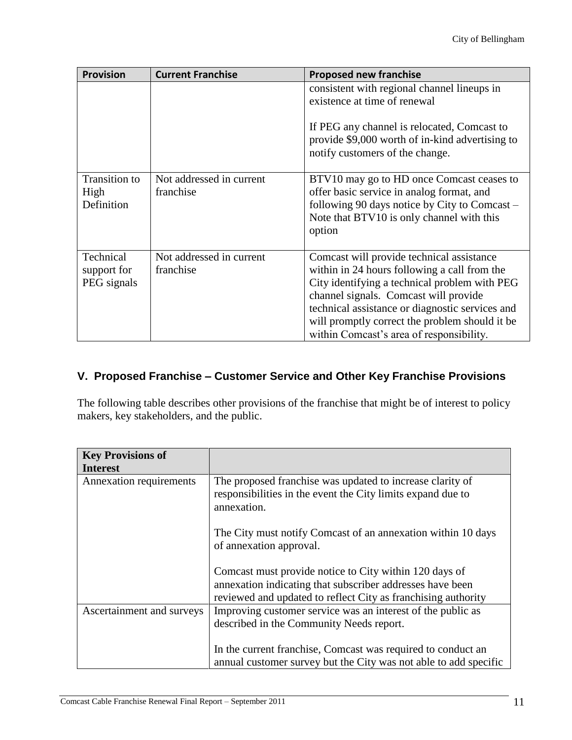| <b>Provision</b>                           | <b>Current Franchise</b>              | <b>Proposed new franchise</b>                                                                                                                                                                                                                                                                                                        |
|--------------------------------------------|---------------------------------------|--------------------------------------------------------------------------------------------------------------------------------------------------------------------------------------------------------------------------------------------------------------------------------------------------------------------------------------|
|                                            |                                       | consistent with regional channel lineups in<br>existence at time of renewal<br>If PEG any channel is relocated, Comcast to<br>provide \$9,000 worth of in-kind advertising to                                                                                                                                                        |
|                                            |                                       | notify customers of the change.                                                                                                                                                                                                                                                                                                      |
| <b>Transition</b> to<br>High<br>Definition | Not addressed in current<br>franchise | BTV10 may go to HD once Comcast ceases to<br>offer basic service in analog format, and<br>following 90 days notice by City to Comcast –<br>Note that BTV10 is only channel with this<br>option                                                                                                                                       |
| Technical<br>support for<br>PEG signals    | Not addressed in current<br>franchise | Comcast will provide technical assistance<br>within in 24 hours following a call from the<br>City identifying a technical problem with PEG<br>channel signals. Comcast will provide<br>technical assistance or diagnostic services and<br>will promptly correct the problem should it be<br>within Comcast's area of responsibility. |

# <span id="page-10-0"></span>**V. Proposed Franchise – Customer Service and Other Key Franchise Provisions**

The following table describes other provisions of the franchise that might be of interest to policy makers, key stakeholders, and the public.

| <b>Key Provisions of</b><br><b>Interest</b> |                                                                                                                                                                                      |
|---------------------------------------------|--------------------------------------------------------------------------------------------------------------------------------------------------------------------------------------|
| Annexation requirements                     | The proposed franchise was updated to increase clarity of<br>responsibilities in the event the City limits expand due to<br>annexation.                                              |
|                                             | The City must notify Comcast of an annexation within 10 days<br>of annexation approval.                                                                                              |
|                                             | Comcast must provide notice to City within 120 days of<br>annexation indicating that subscriber addresses have been<br>reviewed and updated to reflect City as franchising authority |
| Ascertainment and surveys                   | Improving customer service was an interest of the public as<br>described in the Community Needs report.                                                                              |
|                                             | In the current franchise, Comcast was required to conduct an<br>annual customer survey but the City was not able to add specific                                                     |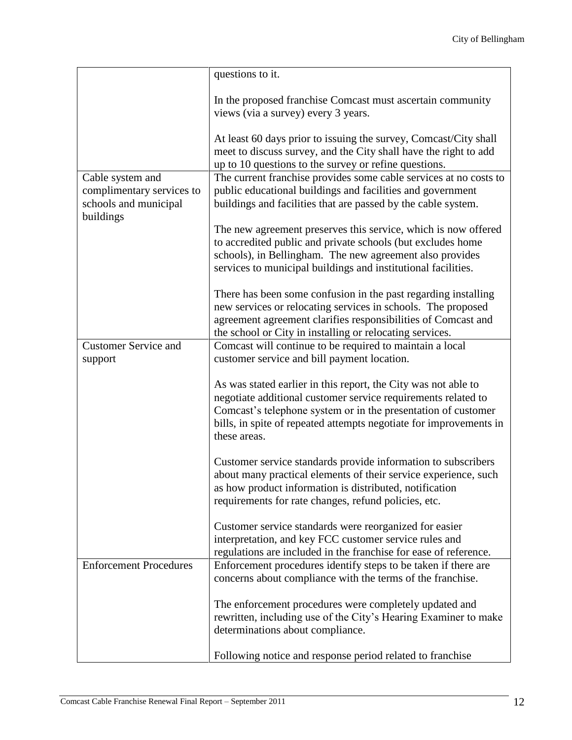|                                                    | questions to it.                                                                                                                |
|----------------------------------------------------|---------------------------------------------------------------------------------------------------------------------------------|
|                                                    | In the proposed franchise Comcast must ascertain community                                                                      |
|                                                    | views (via a survey) every 3 years.                                                                                             |
|                                                    | At least 60 days prior to issuing the survey, Comcast/City shall                                                                |
|                                                    | meet to discuss survey, and the City shall have the right to add                                                                |
|                                                    | up to 10 questions to the survey or refine questions.                                                                           |
| Cable system and                                   | The current franchise provides some cable services at no costs to                                                               |
| complimentary services to<br>schools and municipal | public educational buildings and facilities and government<br>buildings and facilities that are passed by the cable system.     |
| buildings                                          | The new agreement preserves this service, which is now offered                                                                  |
|                                                    | to accredited public and private schools (but excludes home                                                                     |
|                                                    | schools), in Bellingham. The new agreement also provides                                                                        |
|                                                    | services to municipal buildings and institutional facilities.                                                                   |
|                                                    |                                                                                                                                 |
|                                                    | There has been some confusion in the past regarding installing<br>new services or relocating services in schools. The proposed  |
|                                                    | agreement agreement clarifies responsibilities of Comcast and                                                                   |
|                                                    | the school or City in installing or relocating services.                                                                        |
| <b>Customer Service and</b>                        | Comcast will continue to be required to maintain a local                                                                        |
| support                                            | customer service and bill payment location.                                                                                     |
|                                                    |                                                                                                                                 |
|                                                    | As was stated earlier in this report, the City was not able to<br>negotiate additional customer service requirements related to |
|                                                    | Comcast's telephone system or in the presentation of customer                                                                   |
|                                                    | bills, in spite of repeated attempts negotiate for improvements in                                                              |
|                                                    | these areas.                                                                                                                    |
|                                                    | Customer service standards provide information to subscribers                                                                   |
|                                                    | about many practical elements of their service experience, such                                                                 |
|                                                    | as how product information is distributed, notification                                                                         |
|                                                    | requirements for rate changes, refund policies, etc.                                                                            |
|                                                    |                                                                                                                                 |
|                                                    | Customer service standards were reorganized for easier<br>interpretation, and key FCC customer service rules and                |
|                                                    | regulations are included in the franchise for ease of reference.                                                                |
| <b>Enforcement Procedures</b>                      | Enforcement procedures identify steps to be taken if there are                                                                  |
|                                                    | concerns about compliance with the terms of the franchise.                                                                      |
|                                                    | The enforcement procedures were completely updated and                                                                          |
|                                                    | rewritten, including use of the City's Hearing Examiner to make                                                                 |
|                                                    | determinations about compliance.                                                                                                |
|                                                    | Following notice and response period related to franchise                                                                       |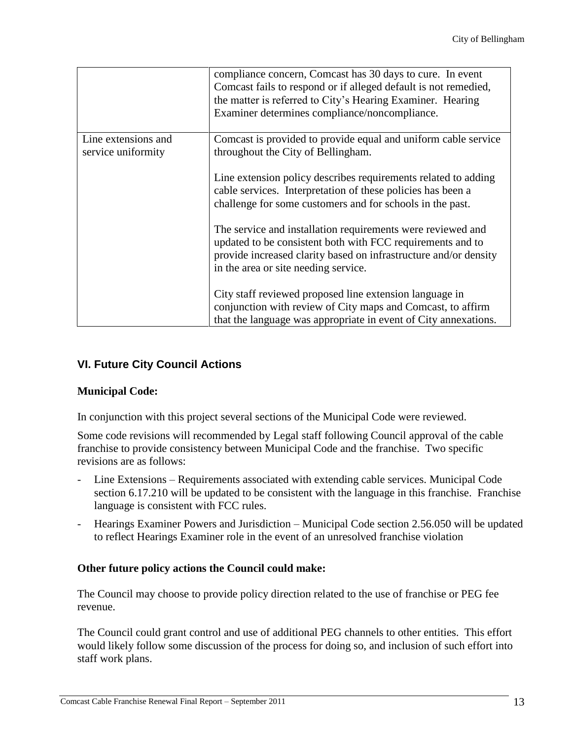|                                           | compliance concern, Comcast has 30 days to cure. In event<br>Comcast fails to respond or if alleged default is not remedied,<br>the matter is referred to City's Hearing Examiner. Hearing<br>Examiner determines compliance/noncompliance. |
|-------------------------------------------|---------------------------------------------------------------------------------------------------------------------------------------------------------------------------------------------------------------------------------------------|
| Line extensions and<br>service uniformity | Comcast is provided to provide equal and uniform cable service<br>throughout the City of Bellingham.                                                                                                                                        |
|                                           | Line extension policy describes requirements related to adding<br>cable services. Interpretation of these policies has been a<br>challenge for some customers and for schools in the past.                                                  |
|                                           | The service and installation requirements were reviewed and<br>updated to be consistent both with FCC requirements and to<br>provide increased clarity based on infrastructure and/or density<br>in the area or site needing service.       |
|                                           | City staff reviewed proposed line extension language in<br>conjunction with review of City maps and Comcast, to affirm<br>that the language was appropriate in event of City annexations.                                                   |

# <span id="page-12-0"></span>**VI. Future City Council Actions**

## **Municipal Code:**

In conjunction with this project several sections of the Municipal Code were reviewed.

Some code revisions will recommended by Legal staff following Council approval of the cable franchise to provide consistency between Municipal Code and the franchise. Two specific revisions are as follows:

- Line Extensions Requirements associated with extending cable services. Municipal Code section 6.17.210 will be updated to be consistent with the language in this franchise. Franchise language is consistent with FCC rules.
- Hearings Examiner Powers and Jurisdiction Municipal Code section 2.56.050 will be updated to reflect Hearings Examiner role in the event of an unresolved franchise violation

## **Other future policy actions the Council could make:**

The Council may choose to provide policy direction related to the use of franchise or PEG fee revenue.

The Council could grant control and use of additional PEG channels to other entities. This effort would likely follow some discussion of the process for doing so, and inclusion of such effort into staff work plans.